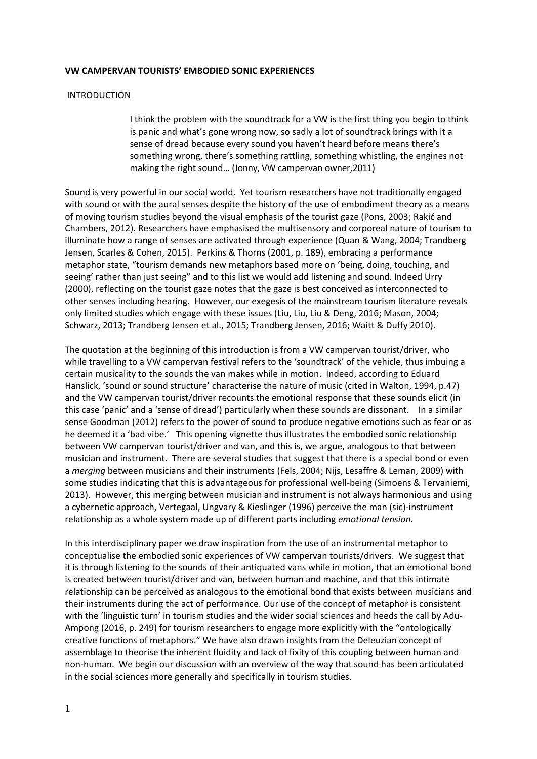## **VW CAMPERVAN TOURISTS' EMBODIED SONIC EXPERIENCES**

## **INTRODUCTION**

I think the problem with the soundtrack for a VW is the first thing you begin to think is panic and what's gone wrong now, so sadly a lot of soundtrack brings with it a sense of dread because every sound you haven't heard before means there's something wrong, there's something rattling, something whistling, the engines not making the right sound… (Jonny, VW campervan owner,2011)

Sound is very powerful in our social world. Yet tourism researchers have not traditionally engaged with sound or with the aural senses despite the history of the use of embodiment theory as a means of moving tourism studies beyond the visual emphasis of the tourist gaze (Pons, 2003; Rakić and Chambers, 2012). Researchers have emphasised the multisensory and corporeal nature of tourism to illuminate how a range of senses are activated through experience (Quan & Wang, 2004; Trandberg Jensen, Scarles & Cohen, 2015). Perkins & Thorns (2001, p. 189), embracing a performance metaphor state, "tourism demands new metaphors based more on 'being, doing, touching, and seeing' rather than just seeing" and to this list we would add listening and sound. Indeed Urry (2000), reflecting on the tourist gaze notes that the gaze is best conceived as interconnected to other senses including hearing. However, our exegesis of the mainstream tourism literature reveals only limited studies which engage with these issues (Liu, Liu, Liu & Deng, 2016; Mason, 2004; Schwarz, 2013; Trandberg Jensen et al., 2015; Trandberg Jensen, 2016; Waitt & Duffy 2010).

The quotation at the beginning of this introduction is from a VW campervan tourist/driver, who while travelling to a VW campervan festival refers to the 'soundtrack' of the vehicle, thus imbuing a certain musicality to the sounds the van makes while in motion. Indeed, according to Eduard Hanslick, 'sound or sound structure' characterise the nature of music (cited in Walton, 1994, p.47) and the VW campervan tourist/driver recounts the emotional response that these sounds elicit (in this case 'panic' and a 'sense of dread') particularly when these sounds are dissonant. In a similar sense Goodman (2012) refers to the power of sound to produce negative emotions such as fear or as he deemed it a 'bad vibe.' This opening vignette thus illustrates the embodied sonic relationship between VW campervan tourist/driver and van, and this is, we argue, analogous to that between musician and instrument. There are several studies that suggest that there is a special bond or even a *merging* between musicians and their instruments (Fels, 2004; Nijs, Lesaffre & Leman, 2009) with some studies indicating that this is advantageous for professional well-being (Simoens & Tervaniemi, 2013). However, this merging between musician and instrument is not always harmonious and using a cybernetic approach, Vertegaal, Ungvary & Kieslinger (1996) perceive the man (sic)-instrument relationship as a whole system made up of different parts including *emotional tension*.

In this interdisciplinary paper we draw inspiration from the use of an instrumental metaphor to conceptualise the embodied sonic experiences of VW campervan tourists/drivers. We suggest that it is through listening to the sounds of their antiquated vans while in motion, that an emotional bond is created between tourist/driver and van, between human and machine, and that this intimate relationship can be perceived as analogous to the emotional bond that exists between musicians and their instruments during the act of performance. Our use of the concept of metaphor is consistent with the 'linguistic turn' in tourism studies and the wider social sciences and heeds the call by Adu-Ampong (2016, p. 249) for tourism researchers to engage more explicitly with the "ontologically creative functions of metaphors." We have also drawn insights from the Deleuzian concept of assemblage to theorise the inherent fluidity and lack of fixity of this coupling between human and non-human. We begin our discussion with an overview of the way that sound has been articulated in the social sciences more generally and specifically in tourism studies.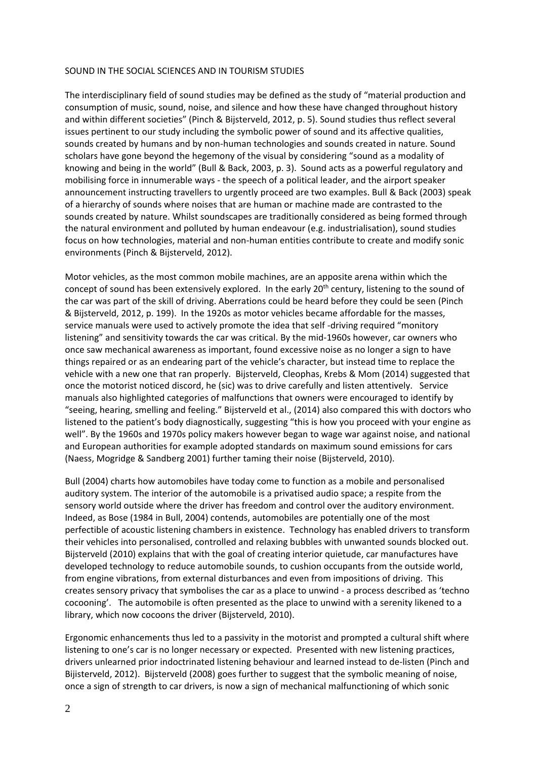## SOUND IN THE SOCIAL SCIENCES AND IN TOURISM STUDIES

The interdisciplinary field of sound studies may be defined as the study of "material production and consumption of music, sound, noise, and silence and how these have changed throughout history and within different societies" (Pinch & Bijsterveld, 2012, p. 5). Sound studies thus reflect several issues pertinent to our study including the symbolic power of sound and its affective qualities, sounds created by humans and by non-human technologies and sounds created in nature. Sound scholars have gone beyond the hegemony of the visual by considering "sound as a modality of knowing and being in the world" (Bull & Back, 2003, p. 3). Sound acts as a powerful regulatory and mobilising force in innumerable ways - the speech of a political leader, and the airport speaker announcement instructing travellers to urgently proceed are two examples. Bull & Back (2003) speak of a hierarchy of sounds where noises that are human or machine made are contrasted to the sounds created by nature. Whilst soundscapes are traditionally considered as being formed through the natural environment and polluted by human endeavour (e.g. industrialisation), sound studies focus on how technologies, material and non-human entities contribute to create and modify sonic environments (Pinch & Bijsterveld, 2012).

Motor vehicles, as the most common mobile machines, are an apposite arena within which the concept of sound has been extensively explored. In the early 20<sup>th</sup> century, listening to the sound of the car was part of the skill of driving. Aberrations could be heard before they could be seen (Pinch & Bijsterveld, 2012, p. 199). In the 1920s as motor vehicles became affordable for the masses, service manuals were used to actively promote the idea that self -driving required "monitory listening" and sensitivity towards the car was critical. By the mid-1960s however, car owners who once saw mechanical awareness as important, found excessive noise as no longer a sign to have things repaired or as an endearing part of the vehicle's character, but instead time to replace the vehicle with a new one that ran properly. Bijsterveld, Cleophas, Krebs & Mom (2014) suggested that once the motorist noticed discord, he (sic) was to drive carefully and listen attentively. Service manuals also highlighted categories of malfunctions that owners were encouraged to identify by "seeing, hearing, smelling and feeling." Bijsterveld et al., (2014) also compared this with doctors who listened to the patient's body diagnostically, suggesting "this is how you proceed with your engine as well". By the 1960s and 1970s policy makers however began to wage war against noise, and national and European authorities for example adopted standards on maximum sound emissions for cars (Naess, Mogridge & Sandberg 2001) further taming their noise (Bijsterveld, 2010).

Bull (2004) charts how automobiles have today come to function as a mobile and personalised auditory system. The interior of the automobile is a privatised audio space; a respite from the sensory world outside where the driver has freedom and control over the auditory environment. Indeed, as Bose (1984 in Bull, 2004) contends, automobiles are potentially one of the most perfectible of acoustic listening chambers in existence. Technology has enabled drivers to transform their vehicles into personalised, controlled and relaxing bubbles with unwanted sounds blocked out. Bijsterveld (2010) explains that with the goal of creating interior quietude, car manufactures have developed technology to reduce automobile sounds, to cushion occupants from the outside world, from engine vibrations, from external disturbances and even from impositions of driving. This creates sensory privacy that symbolises the car as a place to unwind - a process described as 'techno cocooning'. The automobile is often presented as the place to unwind with a serenity likened to a library, which now cocoons the driver (Bijsterveld, 2010).

Ergonomic enhancements thus led to a passivity in the motorist and prompted a cultural shift where listening to one's car is no longer necessary or expected. Presented with new listening practices, drivers unlearned prior indoctrinated listening behaviour and learned instead to de-listen (Pinch and Bijisterveld, 2012). Bijsterveld (2008) goes further to suggest that the symbolic meaning of noise, once a sign of strength to car drivers, is now a sign of mechanical malfunctioning of which sonic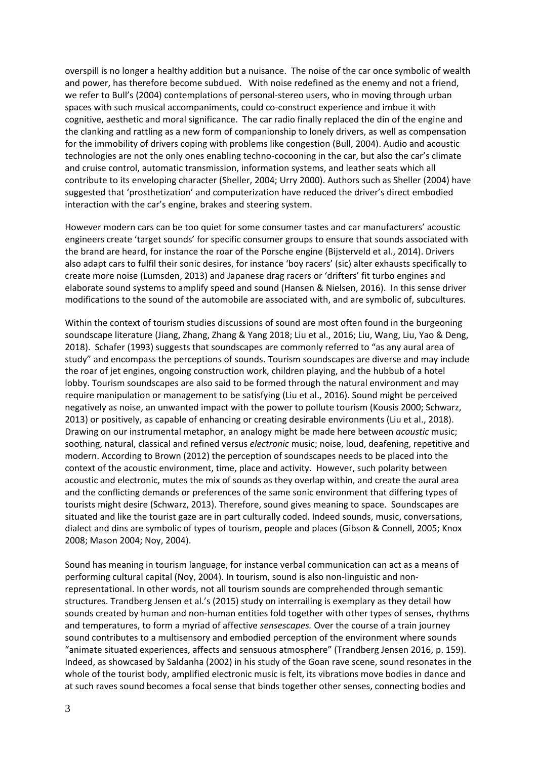overspill is no longer a healthy addition but a nuisance. The noise of the car once symbolic of wealth and power, has therefore become subdued. With noise redefined as the enemy and not a friend, we refer to Bull's (2004) contemplations of personal-stereo users, who in moving through urban spaces with such musical accompaniments, could co-construct experience and imbue it with cognitive, aesthetic and moral significance. The car radio finally replaced the din of the engine and the clanking and rattling as a new form of companionship to lonely drivers, as well as compensation for the immobility of drivers coping with problems like congestion (Bull, 2004). Audio and acoustic technologies are not the only ones enabling techno-cocooning in the car, but also the car's climate and cruise control, automatic transmission, information systems, and leather seats which all contribute to its enveloping character (Sheller, 2004; Urry 2000). Authors such as Sheller (2004) have suggested that 'prosthetization' and computerization have reduced the driver's direct embodied interaction with the car's engine, brakes and steering system.

However modern cars can be too quiet for some consumer tastes and car manufacturers' acoustic engineers create 'target sounds' for specific consumer groups to ensure that sounds associated with the brand are heard, for instance the roar of the Porsche engine (Bijsterveld et al., 2014). Drivers also adapt cars to fulfil their sonic desires, for instance 'boy racers' (sic) alter exhausts specifically to create more noise (Lumsden, 2013) and Japanese drag racers or 'drifters' fit turbo engines and elaborate sound systems to amplify speed and sound (Hansen & Nielsen, 2016). In this sense driver modifications to the sound of the automobile are associated with, and are symbolic of, subcultures.

Within the context of tourism studies discussions of sound are most often found in the burgeoning soundscape literature (Jiang, Zhang, Zhang & Yang 2018; Liu et al., 2016; Liu, Wang, Liu, Yao & Deng, 2018). Schafer (1993) suggests that soundscapes are commonly referred to "as any aural area of study" and encompass the perceptions of sounds. Tourism soundscapes are diverse and may include the roar of jet engines, ongoing construction work, children playing, and the hubbub of a hotel lobby. Tourism soundscapes are also said to be formed through the natural environment and may require manipulation or management to be satisfying (Liu et al., 2016). Sound might be perceived negatively as noise, an unwanted impact with the power to pollute tourism (Kousis 2000; Schwarz, 2013) or positively, as capable of enhancing or creating desirable environments (Liu et al., 2018). Drawing on our instrumental metaphor, an analogy might be made here between *acoustic* music; soothing, natural, classical and refined versus *electronic* music; noise, loud, deafening, repetitive and modern. According to Brown (2012) the perception of soundscapes needs to be placed into the context of the acoustic environment, time, place and activity. However, such polarity between acoustic and electronic, mutes the mix of sounds as they overlap within, and create the aural area and the conflicting demands or preferences of the same sonic environment that differing types of tourists might desire (Schwarz, 2013). Therefore, sound gives meaning to space. Soundscapes are situated and like the tourist gaze are in part culturally coded. Indeed sounds, music, conversations, dialect and dins are symbolic of types of tourism, people and places (Gibson & Connell, 2005; Knox 2008; Mason 2004; Noy, 2004).

Sound has meaning in tourism language, for instance verbal communication can act as a means of performing cultural capital (Noy, 2004). In tourism, sound is also non-linguistic and nonrepresentational. In other words, not all tourism sounds are comprehended through semantic structures. Trandberg Jensen et al.'s (2015) study on interrailing is exemplary as they detail how sounds created by human and non-human entities fold together with other types of senses, rhythms and temperatures, to form a myriad of affective *sensescapes.* Over the course of a train journey sound contributes to a multisensory and embodied perception of the environment where sounds "animate situated experiences, affects and sensuous atmosphere" (Trandberg Jensen 2016, p. 159). Indeed, as showcased by Saldanha (2002) in his study of the Goan rave scene, sound resonates in the whole of the tourist body, amplified electronic music is felt, its vibrations move bodies in dance and at such raves sound becomes a focal sense that binds together other senses, connecting bodies and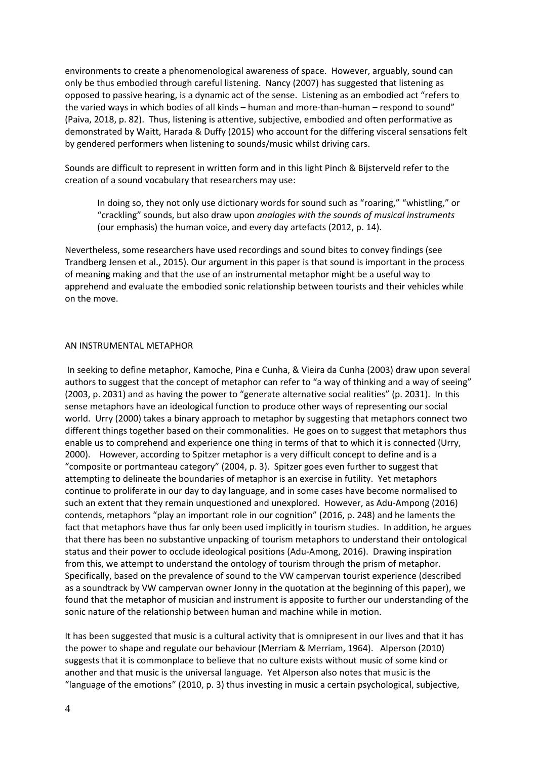environments to create a phenomenological awareness of space. However, arguably, sound can only be thus embodied through careful listening. Nancy (2007) has suggested that listening as opposed to passive hearing, is a dynamic act of the sense. Listening as an embodied act "refers to the varied ways in which bodies of all kinds – human and more-than-human – respond to sound" (Paiva, 2018, p. 82). Thus, listening is attentive, subjective, embodied and often performative as demonstrated by Waitt, Harada & Duffy (2015) who account for the differing visceral sensations felt by gendered performers when listening to sounds/music whilst driving cars.

Sounds are difficult to represent in written form and in this light Pinch & Bijsterveld refer to the creation of a sound vocabulary that researchers may use:

In doing so, they not only use dictionary words for sound such as "roaring," "whistling," or "crackling" sounds, but also draw upon *analogies with the sounds of musical instruments* (our emphasis) the human voice, and every day artefacts (2012, p. 14).

Nevertheless, some researchers have used recordings and sound bites to convey findings (see Trandberg Jensen et al., 2015). Our argument in this paper is that sound is important in the process of meaning making and that the use of an instrumental metaphor might be a useful way to apprehend and evaluate the embodied sonic relationship between tourists and their vehicles while on the move.

### AN INSTRUMENTAL METAPHOR

In seeking to define metaphor, Kamoche, Pina e Cunha, & Vieira da Cunha (2003) draw upon several authors to suggest that the concept of metaphor can refer to "a way of thinking and a way of seeing" (2003, p. 2031) and as having the power to "generate alternative social realities" (p. 2031). In this sense metaphors have an ideological function to produce other ways of representing our social world. Urry (2000) takes a binary approach to metaphor by suggesting that metaphors connect two different things together based on their commonalities. He goes on to suggest that metaphors thus enable us to comprehend and experience one thing in terms of that to which it is connected (Urry, 2000). However, according to Spitzer metaphor is a very difficult concept to define and is a "composite or portmanteau category" (2004, p. 3). Spitzer goes even further to suggest that attempting to delineate the boundaries of metaphor is an exercise in futility. Yet metaphors continue to proliferate in our day to day language, and in some cases have become normalised to such an extent that they remain unquestioned and unexplored. However, as Adu-Ampong (2016) contends, metaphors "play an important role in our cognition" (2016, p. 248) and he laments the fact that metaphors have thus far only been used implicitly in tourism studies. In addition, he argues that there has been no substantive unpacking of tourism metaphors to understand their ontological status and their power to occlude ideological positions (Adu-Among, 2016). Drawing inspiration from this, we attempt to understand the ontology of tourism through the prism of metaphor. Specifically, based on the prevalence of sound to the VW campervan tourist experience (described as a soundtrack by VW campervan owner Jonny in the quotation at the beginning of this paper), we found that the metaphor of musician and instrument is apposite to further our understanding of the sonic nature of the relationship between human and machine while in motion.

It has been suggested that music is a cultural activity that is omnipresent in our lives and that it has the power to shape and regulate our behaviour (Merriam & Merriam, 1964). Alperson (2010) suggests that it is commonplace to believe that no culture exists without music of some kind or another and that music is the universal language. Yet Alperson also notes that music is the "language of the emotions" (2010, p. 3) thus investing in music a certain psychological, subjective,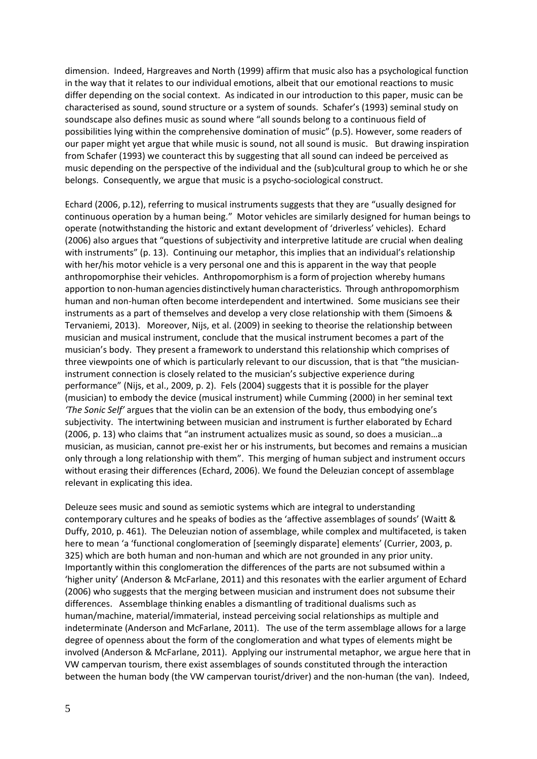dimension. Indeed, Hargreaves and North (1999) affirm that music also has a psychological function in the way that it relates to our individual emotions, albeit that our emotional reactions to music differ depending on the social context. As indicated in our introduction to this paper, music can be characterised as sound, sound structure or a system of sounds. Schafer's (1993) seminal study on soundscape also defines music as sound where "all sounds belong to a continuous field of possibilities lying within the comprehensive domination of music" (p.5). However, some readers of our paper might yet argue that while music is sound, not all sound is music. But drawing inspiration from Schafer (1993) we counteract this by suggesting that all sound can indeed be perceived as music depending on the perspective of the individual and the (sub)cultural group to which he or she belongs. Consequently, we argue that music is a psycho-sociological construct.

Echard (2006, p.12), referring to musical instruments suggests that they are "usually designed for continuous operation by a human being." Motor vehicles are similarly designed for human beings to operate (notwithstanding the historic and extant development of 'driverless' vehicles). Echard (2006) also argues that "questions of subjectivity and interpretive latitude are crucial when dealing with instruments" (p. 13). Continuing our metaphor, this implies that an individual's relationship with her/his motor vehicle is a very personal one and this is apparent in the way that people anthropomorphise their vehicles. Anthropomorphism is a form of projection whereby humans apportion to non-human agencies distinctively human characteristics. Through anthropomorphism human and non-human often become interdependent and intertwined. Some musicians see their instruments as a part of themselves and develop a very close relationship with them (Simoens & Tervaniemi, 2013). Moreover, Nijs, et al. (2009) in seeking to theorise the relationship between musician and musical instrument, conclude that the musical instrument becomes a part of the musician's body. They present a framework to understand this relationship which comprises of three viewpoints one of which is particularly relevant to our discussion, that is that "the musicianinstrument connection is closely related to the musician's subjective experience during performance" (Nijs, et al., 2009, p. 2). Fels (2004) suggests that it is possible for the player (musician) to embody the device (musical instrument) while Cumming (2000) in her seminal text *'The Sonic Self'* argues that the violin can be an extension of the body, thus embodying one's subjectivity. The intertwining between musician and instrument is further elaborated by Echard (2006, p. 13) who claims that "an instrument actualizes music as sound, so does a musician…a musician, as musician, cannot pre-exist her or his instruments, but becomes and remains a musician only through a long relationship with them". This merging of human subject and instrument occurs without erasing their differences (Echard, 2006). We found the Deleuzian concept of assemblage relevant in explicating this idea.

Deleuze sees music and sound as semiotic systems which are integral to understanding contemporary cultures and he speaks of bodies as the 'affective assemblages of sounds' (Waitt & Duffy, 2010, p. 461). The Deleuzian notion of assemblage, while complex and multifaceted, is taken here to mean 'a 'functional conglomeration of [seemingly disparate] elements' (Currier, 2003, p. 325) which are both human and non-human and which are not grounded in any prior unity. Importantly within this conglomeration the differences of the parts are not subsumed within a 'higher unity' (Anderson & McFarlane, 2011) and this resonates with the earlier argument of Echard (2006) who suggests that the merging between musician and instrument does not subsume their differences. Assemblage thinking enables a dismantling of traditional dualisms such as human/machine, material/immaterial, instead perceiving social relationships as multiple and indeterminate (Anderson and McFarlane, 2011). The use of the term assemblage allows for a large degree of openness about the form of the conglomeration and what types of elements might be involved (Anderson & McFarlane, 2011). Applying our instrumental metaphor, we argue here that in VW campervan tourism, there exist assemblages of sounds constituted through the interaction between the human body (the VW campervan tourist/driver) and the non-human (the van). Indeed,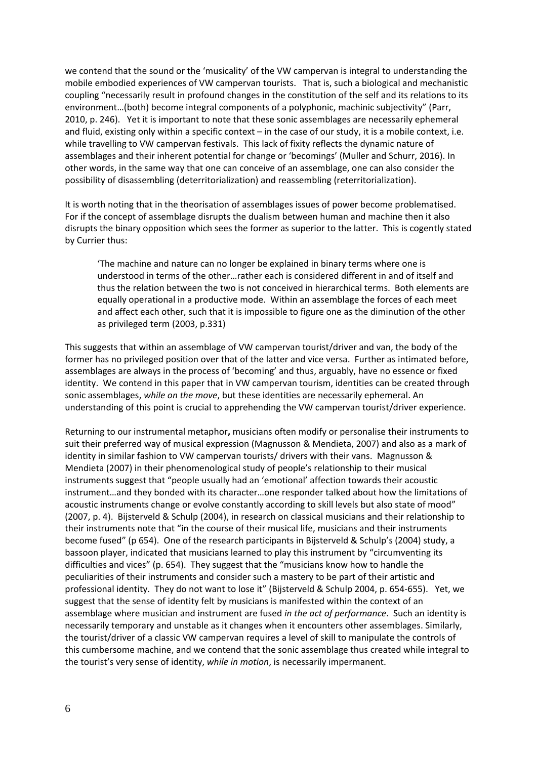we contend that the sound or the 'musicality' of the VW campervan is integral to understanding the mobile embodied experiences of VW campervan tourists. That is, such a biological and mechanistic coupling "necessarily result in profound changes in the constitution of the self and its relations to its environment…(both) become integral components of a polyphonic, machinic subjectivity" (Parr, 2010, p. 246). Yet it is important to note that these sonic assemblages are necessarily ephemeral and fluid, existing only within a specific context – in the case of our study, it is a mobile context, i.e. while travelling to VW campervan festivals. This lack of fixity reflects the dynamic nature of assemblages and their inherent potential for change or 'becomings' (Muller and Schurr, 2016). In other words, in the same way that one can conceive of an assemblage, one can also consider the possibility of disassembling (deterritorialization) and reassembling (reterritorialization).

It is worth noting that in the theorisation of assemblages issues of power become problematised. For if the concept of assemblage disrupts the dualism between human and machine then it also disrupts the binary opposition which sees the former as superior to the latter. This is cogently stated by Currier thus:

'The machine and nature can no longer be explained in binary terms where one is understood in terms of the other…rather each is considered different in and of itself and thus the relation between the two is not conceived in hierarchical terms. Both elements are equally operational in a productive mode. Within an assemblage the forces of each meet and affect each other, such that it is impossible to figure one as the diminution of the other as privileged term (2003, p.331)

This suggests that within an assemblage of VW campervan tourist/driver and van, the body of the former has no privileged position over that of the latter and vice versa. Further as intimated before, assemblages are always in the process of 'becoming' and thus, arguably, have no essence or fixed identity. We contend in this paper that in VW campervan tourism, identities can be created through sonic assemblages, *while on the move*, but these identities are necessarily ephemeral. An understanding of this point is crucial to apprehending the VW campervan tourist/driver experience.

Returning to our instrumental metaphor**,** musicians often modify or personalise their instruments to suit their preferred way of musical expression (Magnusson & Mendieta, 2007) and also as a mark of identity in similar fashion to VW campervan tourists/ drivers with their vans. Magnusson & Mendieta (2007) in their phenomenological study of people's relationship to their musical instruments suggest that "people usually had an 'emotional' affection towards their acoustic instrument…and they bonded with its character…one responder talked about how the limitations of acoustic instruments change or evolve constantly according to skill levels but also state of mood" (2007, p. 4). Bijsterveld & Schulp (2004), in research on classical musicians and their relationship to their instruments note that "in the course of their musical life, musicians and their instruments become fused" (p 654). One of the research participants in Bijsterveld & Schulp's (2004) study, a bassoon player, indicated that musicians learned to play this instrument by "circumventing its difficulties and vices" (p. 654). They suggest that the "musicians know how to handle the peculiarities of their instruments and consider such a mastery to be part of their artistic and professional identity. They do not want to lose it" (Bijsterveld & Schulp 2004, p. 654-655). Yet, we suggest that the sense of identity felt by musicians is manifested within the context of an assemblage where musician and instrument are fused *in the act of performance*. Such an identity is necessarily temporary and unstable as it changes when it encounters other assemblages. Similarly, the tourist/driver of a classic VW campervan requires a level of skill to manipulate the controls of this cumbersome machine, and we contend that the sonic assemblage thus created while integral to the tourist's very sense of identity, *while in motion*, is necessarily impermanent.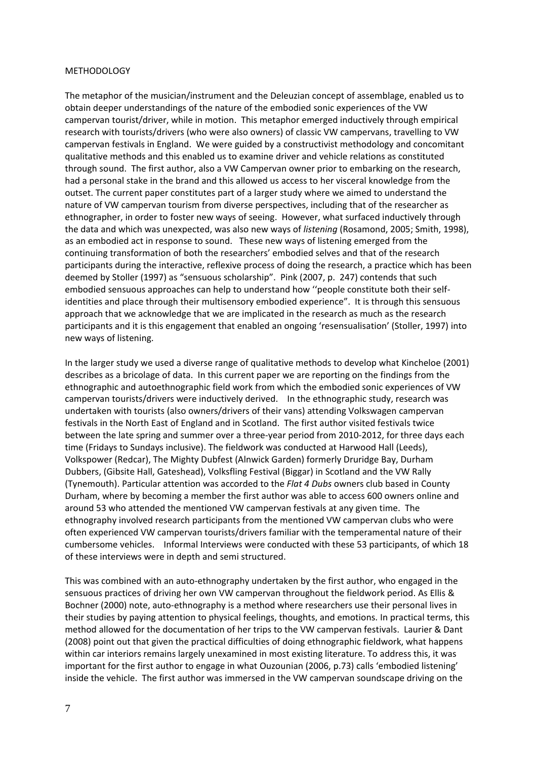#### METHODOLOGY

The metaphor of the musician/instrument and the Deleuzian concept of assemblage, enabled us to obtain deeper understandings of the nature of the embodied sonic experiences of the VW campervan tourist/driver, while in motion. This metaphor emerged inductively through empirical research with tourists/drivers (who were also owners) of classic VW campervans, travelling to VW campervan festivals in England. We were guided by a constructivist methodology and concomitant qualitative methods and this enabled us to examine driver and vehicle relations as constituted through sound. The first author, also a VW Campervan owner prior to embarking on the research, had a personal stake in the brand and this allowed us access to her visceral knowledge from the outset. The current paper constitutes part of a larger study where we aimed to understand the nature of VW campervan tourism from diverse perspectives, including that of the researcher as ethnographer, in order to foster new ways of seeing. However, what surfaced inductively through the data and which was unexpected, was also new ways of *listening* (Rosamond, 2005; Smith, 1998), as an embodied act in response to sound. These new ways of listening emerged from the continuing transformation of both the researchers' embodied selves and that of the research participants during the interactive, reflexive process of doing the research, a practice which has been deemed by Stoller (1997) as "sensuous scholarship". Pink (2007, p. 247) contends that such embodied sensuous approaches can help to understand how ''people constitute both their selfidentities and place through their multisensory embodied experience". It is through this sensuous approach that we acknowledge that we are implicated in the research as much as the research participants and it is this engagement that enabled an ongoing 'resensualisation' (Stoller, 1997) into new ways of listening.

In the larger study we used a diverse range of qualitative methods to develop what Kincheloe (2001) describes as a bricolage of data. In this current paper we are reporting on the findings from the ethnographic and autoethnographic field work from which the embodied sonic experiences of VW campervan tourists/drivers were inductively derived. In the ethnographic study, research was undertaken with tourists (also owners/drivers of their vans) attending Volkswagen campervan festivals in the North East of England and in Scotland. The first author visited festivals twice between the late spring and summer over a three-year period from 2010-2012, for three days each time (Fridays to Sundays inclusive). The fieldwork was conducted at Harwood Hall (Leeds), Volkspower (Redcar), The Mighty Dubfest (Alnwick Garden) formerly Druridge Bay, Durham Dubbers, (Gibsite Hall, Gateshead), Volksfling Festival (Biggar) in Scotland and the VW Rally (Tynemouth). Particular attention was accorded to the *Flat 4 Dubs* owners club based in County Durham, where by becoming a member the first author was able to access 600 owners online and around 53 who attended the mentioned VW campervan festivals at any given time. The ethnography involved research participants from the mentioned VW campervan clubs who were often experienced VW campervan tourists/drivers familiar with the temperamental nature of their cumbersome vehicles. Informal Interviews were conducted with these 53 participants, of which 18 of these interviews were in depth and semi structured.

This was combined with an auto-ethnography undertaken by the first author, who engaged in the sensuous practices of driving her own VW campervan throughout the fieldwork period. As Ellis & Bochner (2000) note, auto-ethnography is a method where researchers use their personal lives in their studies by paying attention to physical feelings, thoughts, and emotions. In practical terms, this method allowed for the documentation of her trips to the VW campervan festivals. Laurier & Dant (2008) point out that given the practical difficulties of doing ethnographic fieldwork, what happens within car interiors remains largely unexamined in most existing literature. To address this, it was important for the first author to engage in what Ouzounian (2006, p.73) calls 'embodied listening' inside the vehicle. The first author was immersed in the VW campervan soundscape driving on the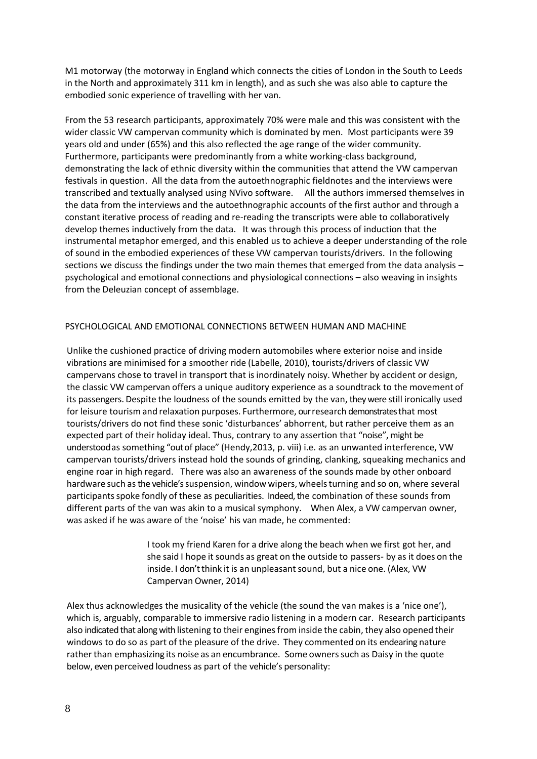M1 motorway (the motorway in England which connects the cities of London in the South to Leeds in the North and approximately 311 km in length), and as such she was also able to capture the embodied sonic experience of travelling with her van.

From the 53 research participants, approximately 70% were male and this was consistent with the wider classic VW campervan community which is dominated by men. Most participants were 39 years old and under (65%) and this also reflected the age range of the wider community. Furthermore, participants were predominantly from a white working-class background, demonstrating the lack of ethnic diversity within the communities that attend the VW campervan festivals in question. All the data from the autoethnographic fieldnotes and the interviews were transcribed and textually analysed using NVivo software. All the authors immersed themselves in the data from the interviews and the autoethnographic accounts of the first author and through a constant iterative process of reading and re-reading the transcripts were able to collaboratively develop themes inductively from the data. It was through this process of induction that the instrumental metaphor emerged, and this enabled us to achieve a deeper understanding of the role of sound in the embodied experiences of these VW campervan tourists/drivers. In the following sections we discuss the findings under the two main themes that emerged from the data analysis – psychological and emotional connections and physiological connections – also weaving in insights from the Deleuzian concept of assemblage.

# PSYCHOLOGICAL AND EMOTIONAL CONNECTIONS BETWEEN HUMAN AND MACHINE

Unlike the cushioned practice of driving modern automobiles where exterior noise and inside vibrations are minimised for a smoother ride (Labelle, 2010), tourists/drivers of classic VW campervans chose to travel in transport that is inordinately noisy. Whether by accident or design, the classic VW campervan offers a unique auditory experience as a soundtrack to the movement of its passengers. Despite the loudness of the sounds emitted by the van, they were still ironically used for leisure tourism and relaxation purposes. Furthermore, our research demonstrates that most tourists/drivers do not find these sonic 'disturbances' abhorrent, but rather perceive them as an expected part of their holiday ideal. Thus, contrary to any assertion that "noise", might be understoodas something "outof place" (Hendy,2013, p. viii) i.e. as an unwanted interference, VW campervan tourists/drivers instead hold the sounds of grinding, clanking, squeaking mechanics and engine roar in high regard. There was also an awareness of the sounds made by other onboard hardware such as the vehicle's suspension, window wipers, wheels turning and so on, where several participants spoke fondly of these as peculiarities. Indeed, the combination of these sounds from different parts of the van was akin to a musical symphony. When Alex, a VW campervan owner, was asked if he was aware of the 'noise' his van made, he commented:

> I took my friend Karen for a drive along the beach when we first got her, and she said I hope it sounds as great on the outside to passers- by as it does on the inside. I don't think it is an unpleasant sound, but a nice one. (Alex, VW Campervan Owner, 2014)

Alex thus acknowledges the musicality of the vehicle (the sound the van makes is a 'nice one'), which is, arguably, comparable to immersive radio listening in a modern car. Research participants also indicated that along with listening to their enginesfrom inside the cabin, they also opened their windows to do so as part of the pleasure of the drive. They commented on its endearing nature rather than emphasizing its noise as an encumbrance. Some ownerssuch as Daisy in the quote below, even perceived loudness as part of the vehicle's personality: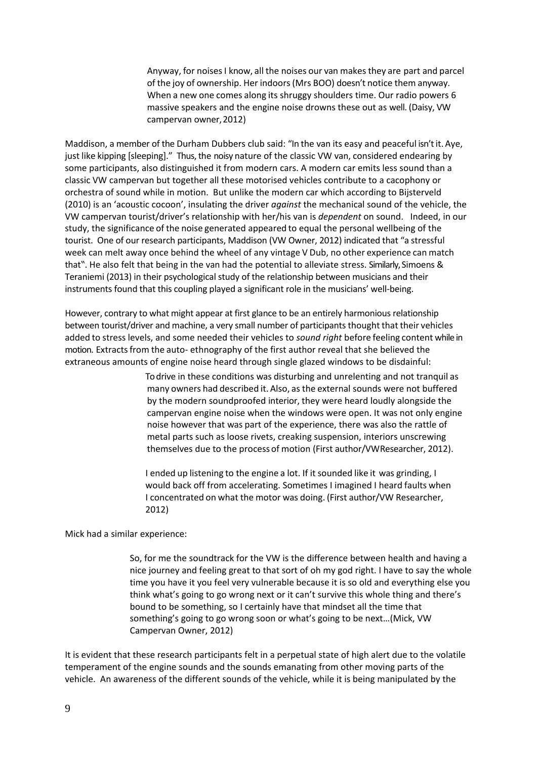Anyway, for noisesI know, all the noises our van makes they are part and parcel of the joy of ownership. Her indoors(Mrs BOO) doesn't notice them anyway. When a new one comes along its shruggy shoulders time. Our radio powers 6 massive speakers and the engine noise drowns these out as well. (Daisy, VW campervan owner,2012)

Maddison, a member of the Durham Dubbers club said: "In the van its easy and peaceful isn'tit.Aye, just like kipping [sleeping]." Thus, the noisy nature of the classic VW van, considered endearing by some participants, also distinguished it from modern cars. A modern car emits less sound than a classic VW campervan but together all these motorised vehicles contribute to a cacophony or orchestra of sound while in motion. But unlike the modern car which according to Bijsterveld (2010) is an 'acoustic cocoon', insulating the driver *against* the mechanical sound of the vehicle, the VW campervan tourist/driver's relationship with her/his van is *dependent* on sound. Indeed, in our study, the significance of the noise generated appeared to equal the personal wellbeing of the tourist. One of our research participants, Maddison (VW Owner, 2012) indicated that "a stressful week can melt away once behind the wheel of any vintage V Dub, no other experience can match that". He also felt that being in the van had the potential to alleviate stress. Similarly, Simoens & Teraniemi (2013) in their psychological study of the relationship between musicians and their instruments found that this coupling played a significant role in the musicians' well-being.

However, contrary to what might appear at first glance to be an entirely harmonious relationship between tourist/driver and machine, a very small number of participants thought that their vehicles added to stress levels, and some needed their vehicles to *sound right* before feeling content while in motion. Extracts from the auto- ethnography of the first author reveal that she believed the extraneous amounts of engine noise heard through single glazed windows to be disdainful:

> To drive in these conditions was disturbing and unrelenting and not tranquil as many owners had described it. Also, as the external sounds were not buffered by the modern soundproofed interior, they were heard loudly alongside the campervan engine noise when the windows were open. It was not only engine noise however that was part of the experience, there was also the rattle of metal parts such as loose rivets, creaking suspension, interiors unscrewing themselves due to the processof motion (First author/VWResearcher, 2012).

I ended up listening to the engine a lot. If it sounded like it was grinding, I would back off from accelerating. Sometimes I imagined I heard faults when I concentrated on what the motor was doing. (First author/VW Researcher, 2012)

Mick had a similar experience:

So, for me the soundtrack for the VW is the difference between health and having a nice journey and feeling great to that sort of oh my god right. I have to say the whole time you have it you feel very vulnerable because it is so old and everything else you think what's going to go wrong next or it can't survive this whole thing and there's bound to be something, so I certainly have that mindset all the time that something's going to go wrong soon or what's going to be next…(Mick, VW Campervan Owner, 2012)

It is evident that these research participants felt in a perpetual state of high alert due to the volatile temperament of the engine sounds and the sounds emanating from other moving parts of the vehicle. An awareness of the different sounds of the vehicle, while it is being manipulated by the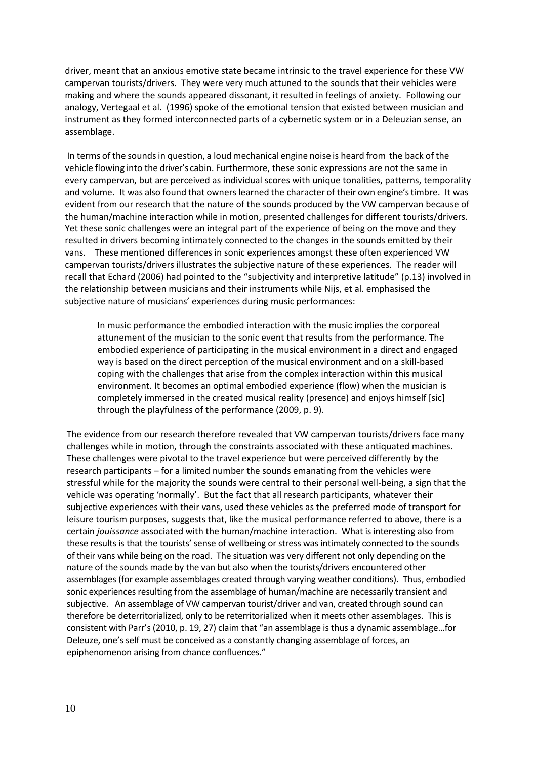driver, meant that an anxious emotive state became intrinsic to the travel experience for these VW campervan tourists/drivers. They were very much attuned to the sounds that their vehicles were making and where the sounds appeared dissonant, it resulted in feelings of anxiety. Following our analogy, Vertegaal et al. (1996) spoke of the emotional tension that existed between musician and instrument as they formed interconnected parts of a cybernetic system or in a Deleuzian sense, an assemblage.

In terms of the soundsin question, a loud mechanical engine noise is heard from the back of the vehicle flowing into the driver's cabin. Furthermore, these sonic expressions are not the same in every campervan, but are perceived as individual scores with unique tonalities, patterns, temporality and volume. It was also found that owners learned the character of their own engine's timbre. It was evident from our research that the nature of the sounds produced by the VW campervan because of the human/machine interaction while in motion, presented challenges for different tourists/drivers. Yet these sonic challenges were an integral part of the experience of being on the move and they resulted in drivers becoming intimately connected to the changes in the sounds emitted by their vans. These mentioned differences in sonic experiences amongst these often experienced VW campervan tourists/drivers illustrates the subjective nature of these experiences. The reader will recall that Echard (2006) had pointed to the "subjectivity and interpretive latitude" (p.13) involved in the relationship between musicians and their instruments while Nijs, et al. emphasised the subjective nature of musicians' experiences during music performances:

In music performance the embodied interaction with the music implies the corporeal attunement of the musician to the sonic event that results from the performance. The embodied experience of participating in the musical environment in a direct and engaged way is based on the direct perception of the musical environment and on a skill-based coping with the challenges that arise from the complex interaction within this musical environment. It becomes an optimal embodied experience (flow) when the musician is completely immersed in the created musical reality (presence) and enjoys himself [sic] through the playfulness of the performance (2009, p. 9).

The evidence from our research therefore revealed that VW campervan tourists/drivers face many challenges while in motion, through the constraints associated with these antiquated machines. These challenges were pivotal to the travel experience but were perceived differently by the research participants – for a limited number the sounds emanating from the vehicles were stressful while for the majority the sounds were central to their personal well-being, a sign that the vehicle was operating 'normally'. But the fact that all research participants, whatever their subjective experiences with their vans, used these vehicles as the preferred mode of transport for leisure tourism purposes, suggests that, like the musical performance referred to above, there is a certain *jouissance* associated with the human/machine interaction. What is interesting also from these results is that the tourists' sense of wellbeing or stress was intimately connected to the sounds of their vans while being on the road. The situation was very different not only depending on the nature of the sounds made by the van but also when the tourists/drivers encountered other assemblages (for example assemblages created through varying weather conditions). Thus, embodied sonic experiences resulting from the assemblage of human/machine are necessarily transient and subjective. An assemblage of VW campervan tourist/driver and van, created through sound can therefore be deterritorialized, only to be reterritorialized when it meets other assemblages. This is consistent with Parr's (2010, p. 19, 27) claim that "an assemblage is thus a dynamic assemblage…for Deleuze, one's self must be conceived as a constantly changing assemblage of forces, an epiphenomenon arising from chance confluences."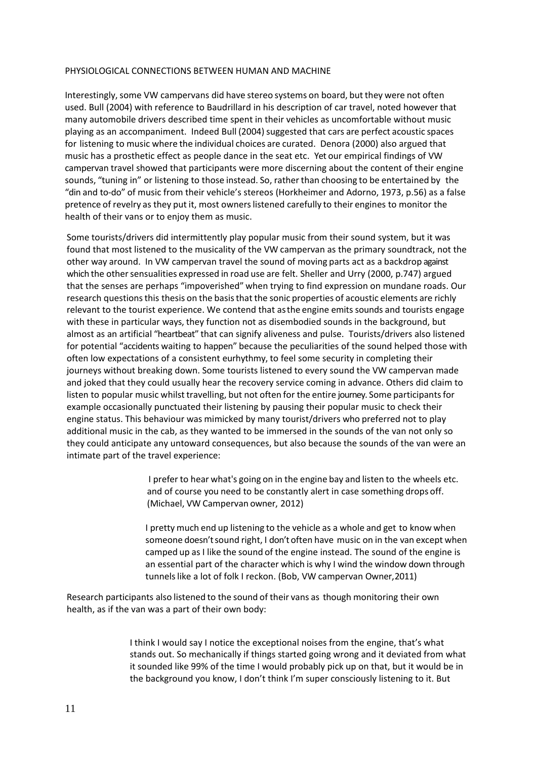## PHYSIOLOGICAL CONNECTIONS BETWEEN HUMAN AND MACHINE

Interestingly, some VW campervans did have stereo systems on board, but they were not often used. Bull (2004) with reference to Baudrillard in his description of car travel, noted however that many automobile drivers described time spent in their vehicles as uncomfortable without music playing as an accompaniment. Indeed Bull (2004) suggested that cars are perfect acoustic spaces for listening to music where the individual choices are curated. Denora (2000) also argued that music has a prosthetic effect as people dance in the seat etc. Yet our empirical findings of VW campervan travel showed that participants were more discerning about the content of their engine sounds, "tuning in" or listening to those instead. So, rather than choosing to be entertained by the "din and to-do" of music from their vehicle's stereos (Horkheimer and Adorno, 1973, p.56) as a false pretence of revelry as they put it, most ownerslistened carefully to their engines to monitor the health of their vans or to enjoy them as music.

Some tourists/drivers did intermittently play popular music from their sound system, but it was found that most listened to the musicality of the VW campervan as the primary soundtrack, not the other way around. In VW campervan travel the sound of moving parts act as a backdrop against which the other sensualities expressed in road use are felt. Sheller and Urry (2000, p.747) argued that the senses are perhaps "impoverished" when trying to find expression on mundane roads. Our research questions this thesis on the basis that the sonic properties of acoustic elements are richly relevant to the tourist experience. We contend that asthe engine emits sounds and tourists engage with these in particular ways, they function not as disembodied sounds in the background, but almost as an artificial "heartbeat" that can signify aliveness and pulse. Tourists/drivers also listened for potential "accidents waiting to happen" because the peculiarities of the sound helped those with often low expectations of a consistent eurhythmy, to feel some security in completing their journeys without breaking down. Some tourists listened to every sound the VW campervan made and joked that they could usually hear the recovery service coming in advance. Others did claim to listen to popular music whilst travelling, but not often for the entire journey. Some participants for example occasionally punctuated their listening by pausing their popular music to check their engine status. This behaviour was mimicked by many tourist/drivers who preferred not to play additional music in the cab, as they wanted to be immersed in the sounds of the van not only so they could anticipate any untoward consequences, but also because the sounds of the van were an intimate part of the travel experience:

> I prefer to hear what's going on in the engine bay and listen to the wheels etc. and of course you need to be constantly alert in case something drops off. (Michael, VW Campervan owner, 2012)

I pretty much end up listening to the vehicle as a whole and get to know when someone doesn'tsound right, I don't often have music on in the van except when camped up as I like the sound of the engine instead. The sound of the engine is an essential part of the character which is why I wind the window down through tunnelslike a lot of folk I reckon. (Bob, VW campervan Owner,2011)

Research participants also listened to the sound of their vans as though monitoring their own health, as if the van was a part of their own body:

> I think I would say I notice the exceptional noises from the engine, that's what stands out. So mechanically if things started going wrong and it deviated from what it sounded like 99% of the time I would probably pick up on that, but it would be in the background you know, I don't think I'm super consciously listening to it. But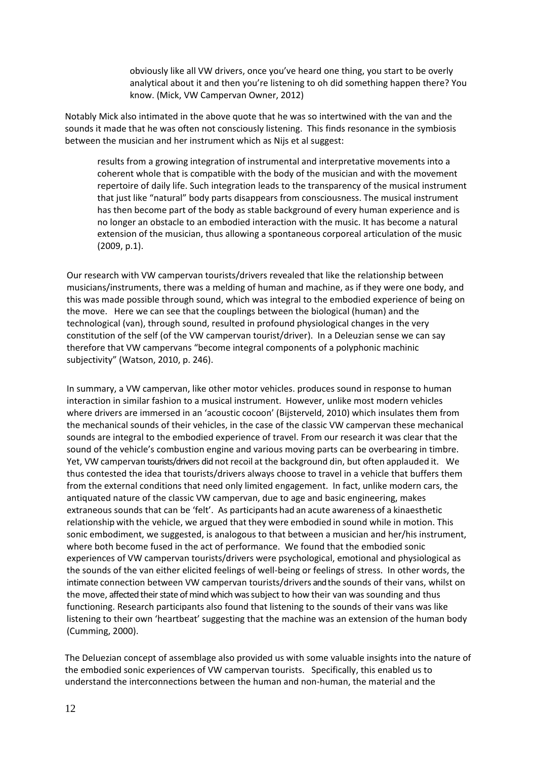obviously like all VW drivers, once you've heard one thing, you start to be overly analytical about it and then you're listening to oh did something happen there? You know. (Mick, VW Campervan Owner, 2012)

Notably Mick also intimated in the above quote that he was so intertwined with the van and the sounds it made that he was often not consciously listening. This finds resonance in the symbiosis between the musician and her instrument which as Nijs et al suggest:

results from a growing integration of instrumental and interpretative movements into a coherent whole that is compatible with the body of the musician and with the movement repertoire of daily life. Such integration leads to the transparency of the musical instrument that just like "natural" body parts disappears from consciousness. The musical instrument has then become part of the body as stable background of every human experience and is no longer an obstacle to an embodied interaction with the music. It has become a natural extension of the musician, thus allowing a spontaneous corporeal articulation of the music (2009, p.1).

Our research with VW campervan tourists/drivers revealed that like the relationship between musicians/instruments, there was a melding of human and machine, as if they were one body, and this was made possible through sound, which was integral to the embodied experience of being on the move. Here we can see that the couplings between the biological (human) and the technological (van), through sound, resulted in profound physiological changes in the very constitution of the self (of the VW campervan tourist/driver). In a Deleuzian sense we can say therefore that VW campervans "become integral components of a polyphonic machinic subjectivity" (Watson, 2010, p. 246).

In summary, a VW campervan, like other motor vehicles. produces sound in response to human interaction in similar fashion to a musical instrument. However, unlike most modern vehicles where drivers are immersed in an 'acoustic cocoon' (Bijsterveld, 2010) which insulates them from the mechanical sounds of their vehicles, in the case of the classic VW campervan these mechanical sounds are integral to the embodied experience of travel. From our research it was clear that the sound of the vehicle's combustion engine and various moving parts can be overbearing in timbre. Yet, VW campervan tourists/drivers did not recoil at the background din, but often applauded it. We thus contested the idea that tourists/drivers always choose to travel in a vehicle that buffers them from the external conditions that need only limited engagement. In fact, unlike modern cars, the antiquated nature of the classic VW campervan, due to age and basic engineering, makes extraneous sounds that can be 'felt'. As participants had an acute awareness of a kinaesthetic relationship with the vehicle, we argued that they were embodied in sound while in motion. This sonic embodiment, we suggested, is analogous to that between a musician and her/his instrument, where both become fused in the act of performance. We found that the embodied sonic experiences of VW campervan tourists/drivers were psychological, emotional and physiological as the sounds of the van either elicited feelings of well-being or feelings of stress. In other words, the intimate connection between VW campervan tourists/drivers and the sounds of their vans, whilst on the move, affected their state of mind which was subject to how their van was sounding and thus functioning. Research participants also found that listening to the sounds of their vans was like listening to their own 'heartbeat' suggesting that the machine was an extension of the human body (Cumming, 2000).

The Deluezian concept of assemblage also provided us with some valuable insights into the nature of the embodied sonic experiences of VW campervan tourists. Specifically, this enabled us to understand the interconnections between the human and non-human, the material and the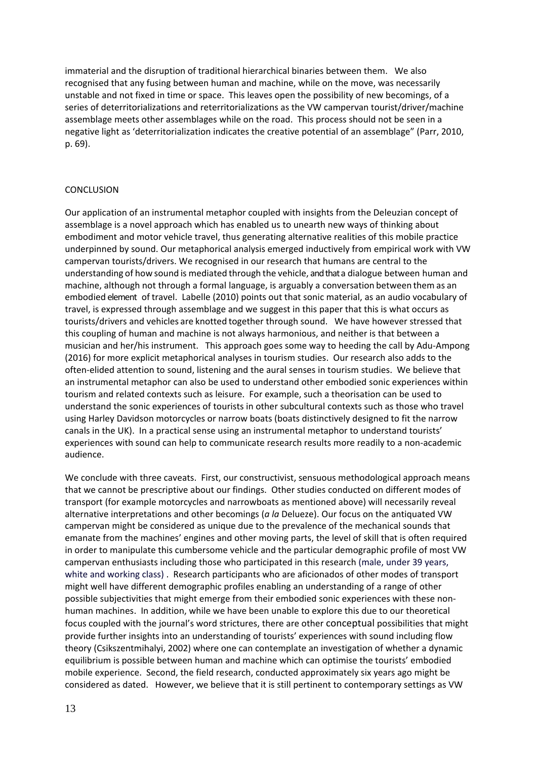immaterial and the disruption of traditional hierarchical binaries between them. We also recognised that any fusing between human and machine, while on the move, was necessarily unstable and not fixed in time or space. This leaves open the possibility of new becomings, of a series of deterritorializations and reterritorializations as the VW campervan tourist/driver/machine assemblage meets other assemblages while on the road. This process should not be seen in a negative light as 'deterritorialization indicates the creative potential of an assemblage" (Parr, 2010, p. 69).

## **CONCLUSION**

Our application of an instrumental metaphor coupled with insights from the Deleuzian concept of assemblage is a novel approach which has enabled us to unearth new ways of thinking about embodiment and motor vehicle travel, thus generating alternative realities of this mobile practice underpinned by sound. Our metaphorical analysis emerged inductively from empirical work with VW campervan tourists/drivers. We recognised in our research that humans are central to the understanding of how sound is mediated through the vehicle, and that a dialogue between human and machine, although not through a formal language, is arguably a conversation between them as an embodied element of travel. Labelle (2010) points out that sonic material, as an audio vocabulary of travel, is expressed through assemblage and we suggest in this paper that this is what occurs as tourists/drivers and vehicles are knotted together through sound. We have however stressed that this coupling of human and machine is not always harmonious, and neither is that between a musician and her/his instrument. This approach goes some way to heeding the call by Adu-Ampong (2016) for more explicit metaphorical analyses in tourism studies. Our research also adds to the often-elided attention to sound, listening and the aural senses in tourism studies. We believe that an instrumental metaphor can also be used to understand other embodied sonic experiences within tourism and related contexts such as leisure. For example, such a theorisation can be used to understand the sonic experiences of tourists in other subcultural contexts such as those who travel using Harley Davidson motorcycles or narrow boats (boats distinctively designed to fit the narrow canals in the UK). In a practical sense using an instrumental metaphor to understand tourists' experiences with sound can help to communicate research results more readily to a non-academic audience.

We conclude with three caveats. First, our constructivist, sensuous methodological approach means that we cannot be prescriptive about our findings. Other studies conducted on different modes of transport (for example motorcycles and narrowboats as mentioned above) will necessarily reveal alternative interpretations and other becomings (*a la* Delueze). Our focus on the antiquated VW campervan might be considered as unique due to the prevalence of the mechanical sounds that emanate from the machines' engines and other moving parts, the level of skill that is often required in order to manipulate this cumbersome vehicle and the particular demographic profile of most VW campervan enthusiasts including those who participated in this research (male, under 39 years, white and working class) . Research participants who are aficionados of other modes of transport might well have different demographic profiles enabling an understanding of a range of other possible subjectivities that might emerge from their embodied sonic experiences with these nonhuman machines. In addition, while we have been unable to explore this due to our theoretical focus coupled with the journal's word strictures, there are other conceptual possibilities that might provide further insights into an understanding of tourists' experiences with sound including flow theory (Csikszentmihalyi, 2002) where one can contemplate an investigation of whether a dynamic equilibrium is possible between human and machine which can optimise the tourists' embodied mobile experience.Second, the field research, conducted approximately six years ago might be considered as dated. However, we believe that it is still pertinent to contemporary settings as VW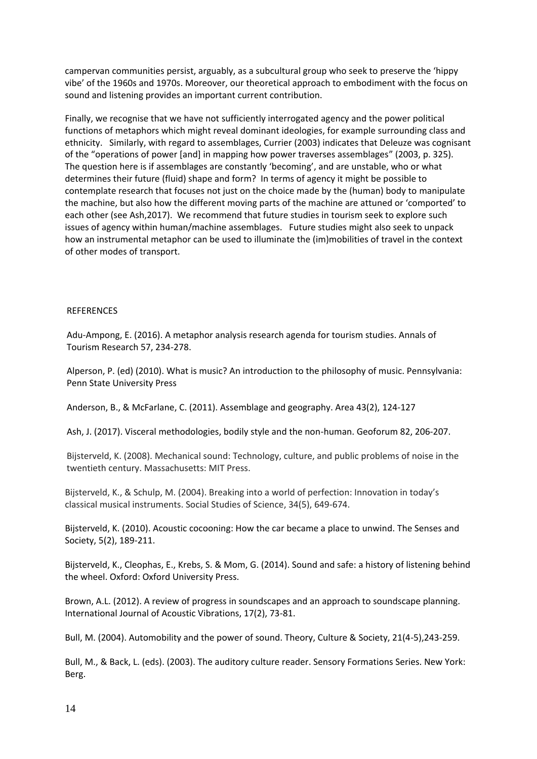campervan communities persist, arguably, as a subcultural group who seek to preserve the 'hippy vibe' of the 1960s and 1970s. Moreover, our theoretical approach to embodiment with the focus on sound and listening provides an important current contribution.

Finally, we recognise that we have not sufficiently interrogated agency and the power political functions of metaphors which might reveal dominant ideologies, for example surrounding class and ethnicity. Similarly, with regard to assemblages, Currier (2003) indicates that Deleuze was cognisant of the "operations of power [and] in mapping how power traverses assemblages" (2003, p. 325). The question here is if assemblages are constantly 'becoming', and are unstable, who or what determines their future (fluid) shape and form? In terms of agency it might be possible to contemplate research that focuses not just on the choice made by the (human) body to manipulate the machine, but also how the different moving parts of the machine are attuned or 'comported' to each other (see Ash,2017). We recommend that future studies in tourism seek to explore such issues of agency within human/machine assemblages. Future studies might also seek to unpack how an instrumental metaphor can be used to illuminate the (im)mobilities of travel in the context of other modes of transport.

## **REFERENCES**

Adu-Ampong, E. (2016). A metaphor analysis research agenda for tourism studies. Annals of Tourism Research 57, 234-278.

Alperson, P. (ed) (2010). What is music? An introduction to the philosophy of music. Pennsylvania: Penn State University Press

Anderson, B., & McFarlane, C. (2011). Assemblage and geography. Area 43(2), 124-127

Ash, J. (2017). Visceral methodologies, bodily style and the non-human. Geoforum 82, 206-207.

Bijsterveld, K. (2008). Mechanical sound: Technology, culture, and public problems of noise in the twentieth century. Massachusetts: MIT Press.

Bijsterveld, K., & Schulp, M. (2004). Breaking into a world of perfection: Innovation in today's classical musical instruments. Social Studies of Science, 34(5), 649-674.

Bijsterveld, K. (2010). Acoustic cocooning: How the car became a place to unwind. The Senses and Society, 5(2), 189-211.

Bijsterveld, K., Cleophas, E., Krebs, S. & Mom, G. (2014). Sound and safe: a history of listening behind the wheel. Oxford: Oxford University Press.

Brown, A.L. (2012). A review of progress in soundscapes and an approach to soundscape planning. International Journal of Acoustic Vibrations, 17(2), 73-81.

Bull, M. (2004). Automobility and the power of sound. Theory, Culture & Society, 21(4-5),243-259.

Bull, M., & Back, L. (eds). (2003). The auditory culture reader. Sensory Formations Series. New York: Berg.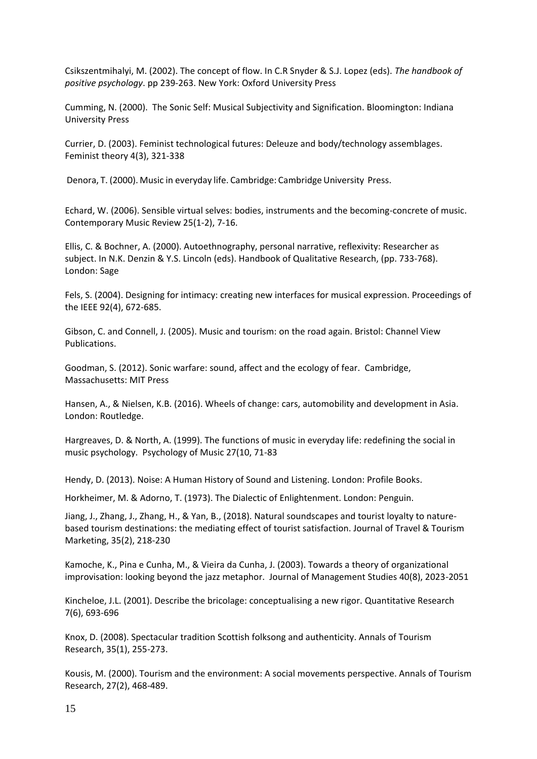Csikszentmihalyi, M. (2002). The concept of flow. In C.R Snyder & S.J. Lopez (eds). *The handbook of positive psychology*. pp 239-263. New York: Oxford University Press

Cumming, N. (2000). The Sonic Self: Musical Subjectivity and Signification. Bloomington: Indiana University Press

Currier, D. (2003). Feminist technological futures: Deleuze and body/technology assemblages. Feminist theory 4(3), 321-338

Denora, T. (2000). Music in everyday life. Cambridge: Cambridge University Press.

Echard, W. (2006). Sensible virtual selves: bodies, instruments and the becoming-concrete of music. Contemporary Music Review 25(1-2), 7-16.

Ellis, C. & Bochner, A. (2000). Autoethnography, personal narrative, reflexivity: Researcher as subject. In N.K. Denzin & Y.S. Lincoln (eds). Handbook of Qualitative Research, (pp. 733-768). London: Sage

Fels, S. (2004). Designing for intimacy: creating new interfaces for musical expression. Proceedings of the IEEE 92(4), 672-685.

Gibson, C. and Connell, J. (2005). Music and tourism: on the road again. Bristol: Channel View Publications.

Goodman, S. (2012). Sonic warfare: sound, affect and the ecology of fear. Cambridge, Massachusetts: MIT Press

Hansen, A., & Nielsen, K.B. (2016). Wheels of change: cars, automobility and development in Asia. London: Routledge.

Hargreaves, D. & North, A. (1999). The functions of music in everyday life: redefining the social in music psychology. Psychology of Music 27(10, 71-83

Hendy, D. (2013). Noise: A Human History of Sound and Listening. London: Profile Books.

Horkheimer, M. & Adorno, T. (1973). The Dialectic of Enlightenment. London: Penguin.

Jiang, J., Zhang, J., Zhang, H., & Yan, B., (2018). Natural soundscapes and tourist loyalty to naturebased tourism destinations: the mediating effect of tourist satisfaction. Journal of Travel & Tourism Marketing, 35(2), 218-230

Kamoche, K., Pina e Cunha, M., & Vieira da Cunha, J. (2003). Towards a theory of organizational improvisation: looking beyond the jazz metaphor. Journal of Management Studies 40(8), 2023-2051

Kincheloe, J.L. (2001). Describe the bricolage: conceptualising a new rigor. Quantitative Research 7(6), 693-696

Knox, D. (2008). Spectacular tradition Scottish folksong and authenticity. Annals of Tourism Research, 35(1), 255-273.

Kousis, M. (2000). Tourism and the environment: A social movements perspective. Annals of Tourism Research, 27(2), 468-489.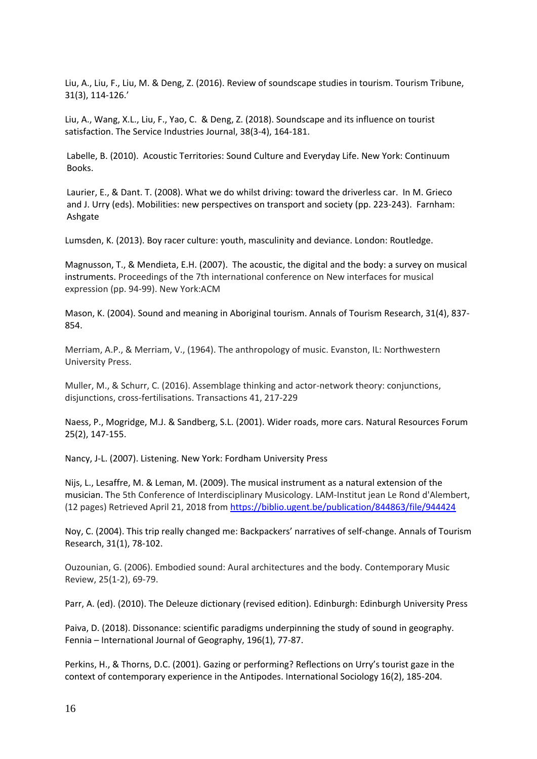Liu, A., Liu, F., Liu, M. & Deng, Z. (2016). Review of soundscape studies in tourism. Tourism Tribune, 31(3), 114-126.'

Liu, A., Wang, X.L., Liu, F., Yao, C. & Deng, Z. (2018). Soundscape and its influence on tourist satisfaction. The Service Industries Journal, 38(3-4), 164-181.

Labelle, B. (2010). Acoustic Territories: Sound Culture and Everyday Life. New York: Continuum Books.

Laurier, E., & Dant. T. (2008). What we do whilst driving: toward the driverless car. In M. Grieco and J. Urry (eds). Mobilities: new perspectives on transport and society (pp. 223-243). Farnham: Ashgate

Lumsden, K. (2013). Boy racer culture: youth, masculinity and deviance. London: Routledge.

Magnusson, T., & Mendieta, E.H. (2007). The acoustic, the digital and the body: a survey on musical instruments. Proceedings of the 7th international conference on New interfaces for musical expression (pp. 94-99). New York:ACM

Mason, K. (2004). Sound and meaning in Aboriginal tourism. Annals of Tourism Research, 31(4), 837- 854.

Merriam, A.P., & Merriam, V., (1964). The anthropology of music. Evanston, IL: Northwestern University Press.

Muller, M., & Schurr, C. (2016). Assemblage thinking and actor-network theory: conjunctions, disjunctions, cross-fertilisations. Transactions 41, 217-229

Naess, P., Mogridge, M.J. & Sandberg, S.L. (2001). Wider roads, more cars. Natural Resources Forum 25(2), 147-155.

Nancy, J-L. (2007). Listening. New York: Fordham University Press

Nijs, L., Lesaffre, M. & Leman, M. (2009). The musical instrument as a natural extension of the musician. The 5th Conference of Interdisciplinary Musicology. LAM-Institut jean Le Rond d'Alembert, (12 pages) Retrieved April 21, 2018 from<https://biblio.ugent.be/publication/844863/file/944424>

Noy, C. (2004). This trip really changed me: Backpackers' narratives of self-change. Annals of Tourism Research, 31(1), 78-102.

Ouzounian, G. (2006). Embodied sound: Aural architectures and the body. Contemporary Music Review, 25(1-2), 69-79.

Parr, A. (ed). (2010). The Deleuze dictionary (revised edition). Edinburgh: Edinburgh University Press

Paiva, D. (2018). Dissonance: scientific paradigms underpinning the study of sound in geography. Fennia – International Journal of Geography, 196(1), 77-87.

Perkins, H., & Thorns, D.C. (2001). Gazing or performing? Reflections on Urry's tourist gaze in the context of contemporary experience in the Antipodes. International Sociology 16(2), 185-204.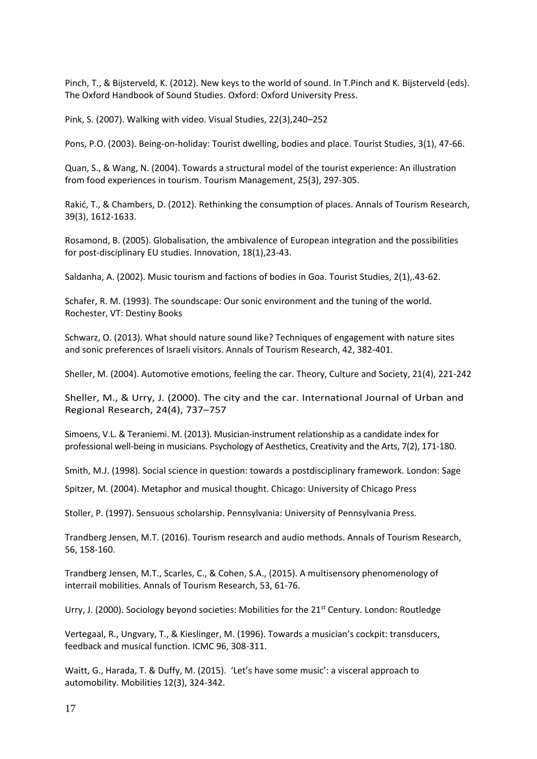Pinch, T., & Bijsterveld, K. (2012). New keys to the world of sound. In T.Pinch and K. Bijsterveld (eds). The Oxford Handbook of Sound Studies. Oxford: Oxford University Press.

[Pink, S. \(2007\). Walking with video. Visual Studies, 22\(3\),240](http://refhub.elsevier.com/S0160-7383(17)30114-7/h0190)–252

Pons, P.O. (2003). Being-on-holiday: Tourist dwelling, bodies and place. Tourist Studies, 3(1), 47-66.

Quan, S., & Wang, N. (2004). Towards a structural model of the tourist experience: An illustration from food experiences in tourism. Tourism Management, 25(3), 297-305.

Rakić, T., & Chambers, D. (2012). Rethinking the consumption of places. Annals of Tourism Research, 39(3), 1612-1633.

Rosamond, B. (2005). Globalisation, the ambivalence of European integration and the possibilities for post-disciplinary EU studies. Innovation, 18(1),23-43.

Saldanha, A. (2002). Music tourism and factions of bodies in Goa. Tourist Studies, 2(1),.43-62.

Schafer, R. M. (1993). The soundscape: Our sonic environment and the tuning of the world. Rochester, VT: Destiny Books

Schwarz, O. (2013). What should nature sound like? Techniques of engagement with nature sites and sonic preferences of Israeli visitors. Annals of Tourism Research, 42, 382-401.

Sheller, M. (2004). Automotive emotions, feeling the car. Theory, Culture and Society, 21(4), 221-242

Sheller, M., & Urry, J. (2000). The city and the car. [International](http://refhub.elsevier.com/S0160-7383(17)30114-7/h0220) Journal of Urban and Regional [Research,](http://refhub.elsevier.com/S0160-7383(17)30114-7/h0220) 24(4), 737–757

Simoens, V.L. & Teraniemi. M. (2013). Musician-instrument relationship as a candidate index for professional well-being in musicians. Psychology of Aesthetics, Creativity and the Arts, 7(2), 171-180.

Smith, M.J. (1998). Social science in question: towards a postdisciplinary framework. London: Sage

Spitzer, M. (2004). Metaphor and musical thought. Chicago: University of Chicago Press

Stoller, P. (1997). Sensuous scholarship. Pennsylvania: University of Pennsylvania Press.

Trandberg Jensen, M.T. (2016). Tourism research and audio methods. Annals of Tourism Research, 56, 158-160.

Trandberg Jensen, M.T., Scarles, C., & Cohen, S.A., (2015). A multisensory phenomenology of interrail mobilities. Annals of Tourism Research, 53, 61-76.

Urry, J. (2000). Sociology beyond societies: Mobilities for the 21<sup>st</sup> Century. London: Routledge

Vertegaal, R., Ungvary, T., & Kieslinger, M. (1996). Towards a musician's cockpit: transducers, feedback and musical function. ICMC 96, 308-311.

Waitt, G., Harada, T. & Duffy, M. (2015). 'Let's have some music': a visceral approach to automobility. Mobilities 12(3), 324-342.